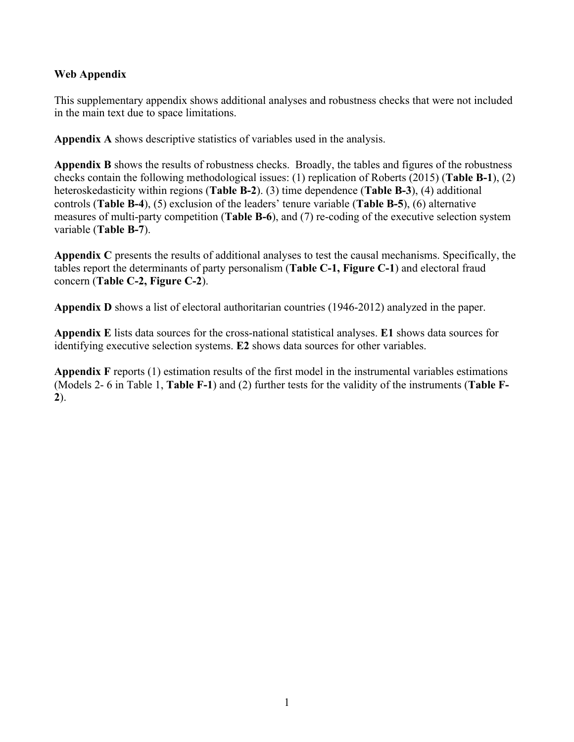# **Web Appendix**

This supplementary appendix shows additional analyses and robustness checks that were not included in the main text due to space limitations.

**Appendix A** shows descriptive statistics of variables used in the analysis.

**Appendix B** shows the results of robustness checks. Broadly, the tables and figures of the robustness checks contain the following methodological issues: (1) replication of Roberts (2015) (**Table B-1**), (2) heteroskedasticity within regions (**Table B-2**). (3) time dependence (**Table B-3**), (4) additional controls (**Table B-4**), (5) exclusion of the leaders' tenure variable (**Table B-5**), (6) alternative measures of multi-party competition (**Table B-6**), and (7) re-coding of the executive selection system variable (**Table B-7**).

**Appendix C** presents the results of additional analyses to test the causal mechanisms. Specifically, the tables report the determinants of party personalism (**Table C-1, Figure C-1**) and electoral fraud concern (**Table C-2, Figure C-2**).

**Appendix D** shows a list of electoral authoritarian countries (1946-2012) analyzed in the paper.

**Appendix E** lists data sources for the cross-national statistical analyses. **E1** shows data sources for identifying executive selection systems. **E2** shows data sources for other variables.

**Appendix F** reports (1) estimation results of the first model in the instrumental variables estimations (Models 2- 6 in Table 1, **Table F-1**) and (2) further tests for the validity of the instruments (**Table F-2**).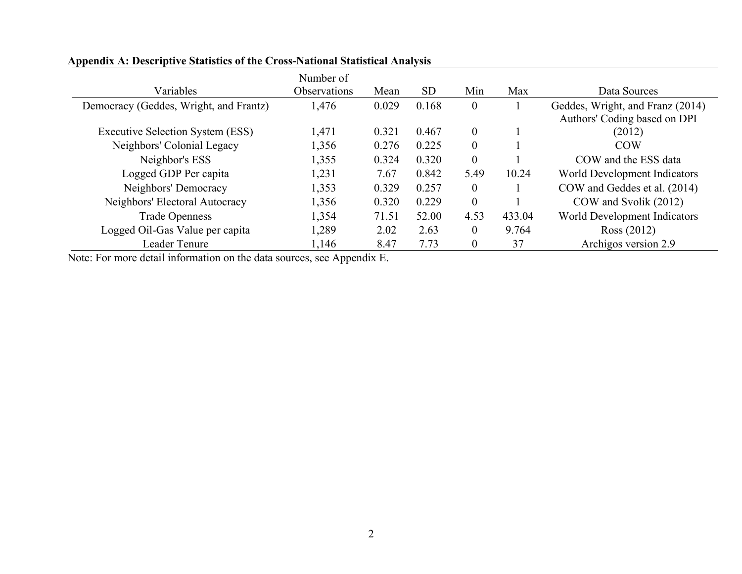|                                        | Number of    |       |           |                |        |                                                                  |
|----------------------------------------|--------------|-------|-----------|----------------|--------|------------------------------------------------------------------|
| Variables                              | Observations | Mean  | <b>SD</b> | Min            | Max    | Data Sources                                                     |
| Democracy (Geddes, Wright, and Frantz) | 1,476        | 0.029 | 0.168     | $\overline{0}$ |        | Geddes, Wright, and Franz (2014)<br>Authors' Coding based on DPI |
| Executive Selection System (ESS)       | 1,471        | 0.321 | 0.467     | $\theta$       |        | (2012)                                                           |
| Neighbors' Colonial Legacy             | 1,356        | 0.276 | 0.225     | $\overline{0}$ |        | <b>COW</b>                                                       |
| Neighbor's ESS                         | 1,355        | 0.324 | 0.320     | $\overline{0}$ |        | COW and the ESS data                                             |
| Logged GDP Per capita                  | 1,231        | 7.67  | 0.842     | 5.49           | 10.24  | World Development Indicators                                     |
| Neighbors' Democracy                   | 1,353        | 0.329 | 0.257     | $\overline{0}$ |        | COW and Geddes et al. (2014)                                     |
| Neighbors' Electoral Autocracy         | 1,356        | 0.320 | 0.229     | $\overline{0}$ |        | COW and Svolik (2012)                                            |
| <b>Trade Openness</b>                  | 1,354        | 71.51 | 52.00     | 4.53           | 433.04 | World Development Indicators                                     |
| Logged Oil-Gas Value per capita        | 1,289        | 2.02  | 2.63      | $\overline{0}$ | 9.764  | Ross (2012)                                                      |
| Leader Tenure                          | 1,146        | 8.47  | 7.73      | $\mathbf{0}$   | 37     | Archigos version 2.9                                             |

# **Appendix A: Descriptive Statistics of the Cross-National Statistical Analysis**

Note: For more detail information on the data sources, see Appendix E.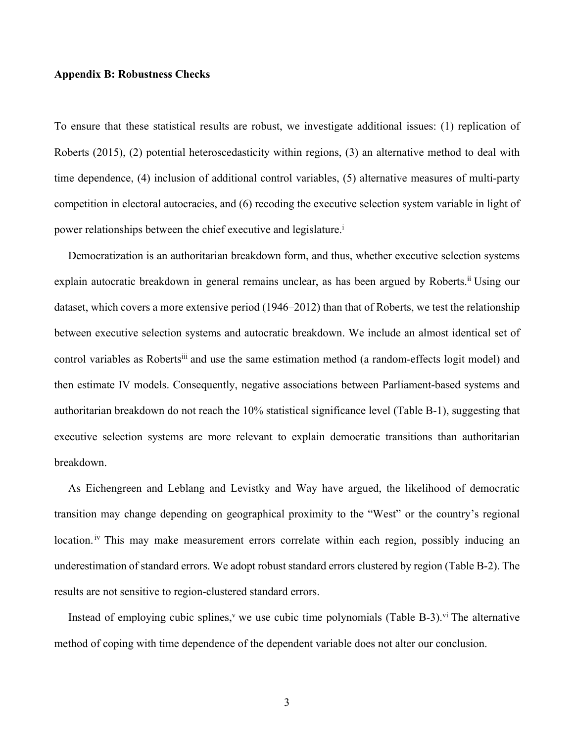#### **Appendix B: Robustness Checks**

To ensure that these statistical results are robust, we investigate additional issues: (1) replication of Roberts (2015), (2) potential heteroscedasticity within regions, (3) an alternative method to deal with time dependence, (4) inclusion of additional control variables, (5) alternative measures of multi-party competition in electoral autocracies, and (6) recoding the executive selection system variable in light of power relationships between the chief executive and legislature.<sup>i</sup>

 Democratization is an authoritarian breakdown form, and thus, whether executive selection systems explain autocratic breakdown in general remains unclear, as has been argued by Roberts.<sup>ii</sup> Using our dataset, which covers a more extensive period (1946–2012) than that of Roberts, we test the relationship between executive selection systems and autocratic breakdown. We include an almost identical set of control variables as Roberts<sup>iii</sup> and use the same estimation method (a random-effects logit model) and then estimate IV models. Consequently, negative associations between Parliament-based systems and authoritarian breakdown do not reach the 10% statistical significance level (Table B-1), suggesting that executive selection systems are more relevant to explain democratic transitions than authoritarian breakdown.

 As Eichengreen and Leblang and Levistky and Way have argued, the likelihood of democratic transition may change depending on geographical proximity to the "West" or the country's regional location.<sup>iv</sup> This may make measurement errors correlate within each region, possibly inducing an underestimation of standard errors. We adopt robust standard errors clustered by region (Table B-2). The results are not sensitive to region-clustered standard errors.

Instead of employing cubic splines,<sup> $v$ </sup> we use cubic time polynomials (Table B-3).<sup>vi</sup> The alternative method of coping with time dependence of the dependent variable does not alter our conclusion.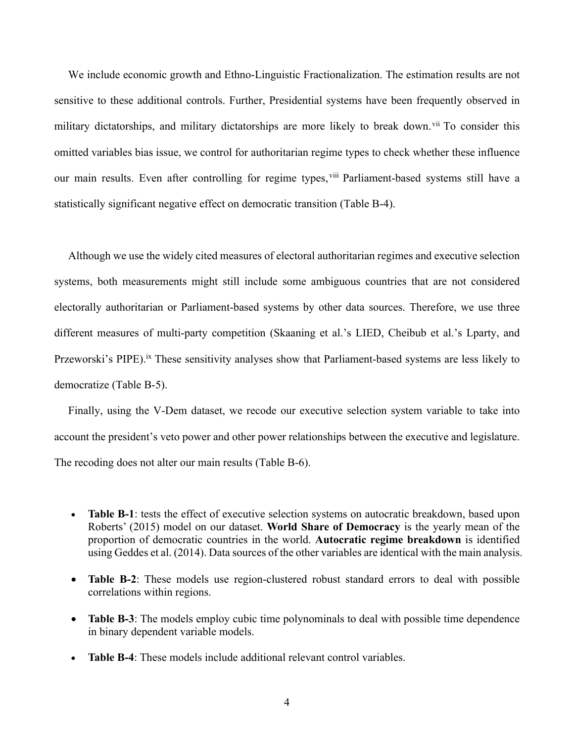We include economic growth and Ethno-Linguistic Fractionalization. The estimation results are not sensitive to these additional controls. Further, Presidential systems have been frequently observed in military dictatorships, and military dictatorships are more likely to break down.<sup>vii</sup> To consider this omitted variables bias issue, we control for authoritarian regime types to check whether these influence our main results. Even after controlling for regime types, vill Parliament-based systems still have a statistically significant negative effect on democratic transition (Table B-4).

 Although we use the widely cited measures of electoral authoritarian regimes and executive selection systems, both measurements might still include some ambiguous countries that are not considered electorally authoritarian or Parliament-based systems by other data sources. Therefore, we use three different measures of multi-party competition (Skaaning et al.'s LIED, Cheibub et al.'s Lparty, and Przeworski's PIPE).<sup>ix</sup> These sensitivity analyses show that Parliament-based systems are less likely to democratize (Table B-5).

 Finally, using the V-Dem dataset, we recode our executive selection system variable to take into account the president's veto power and other power relationships between the executive and legislature. The recoding does not alter our main results (Table B-6).

- **Table B-1**: tests the effect of executive selection systems on autocratic breakdown, based upon Roberts' (2015) model on our dataset. **World Share of Democracy** is the yearly mean of the proportion of democratic countries in the world. **Autocratic regime breakdown** is identified using Geddes et al. (2014). Data sources of the other variables are identical with the main analysis.
- **Table B-2**: These models use region-clustered robust standard errors to deal with possible correlations within regions.
- **Table B-3**: The models employ cubic time polynominals to deal with possible time dependence in binary dependent variable models.
- **Table B-4**: These models include additional relevant control variables.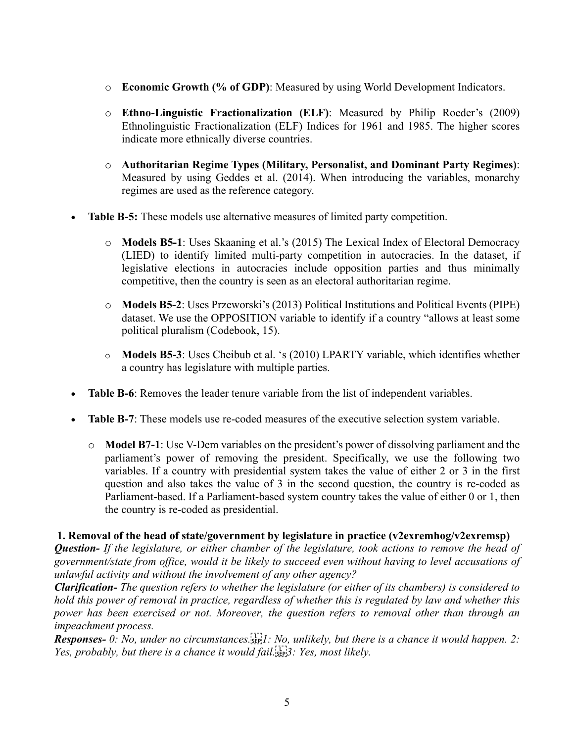- o **Economic Growth (% of GDP)**: Measured by using World Development Indicators.
- o **Ethno-Linguistic Fractionalization (ELF)**: Measured by Philip Roeder's (2009) Ethnolinguistic Fractionalization (ELF) Indices for 1961 and 1985. The higher scores indicate more ethnically diverse countries.
- o **Authoritarian Regime Types (Military, Personalist, and Dominant Party Regimes)**: Measured by using Geddes et al. (2014). When introducing the variables, monarchy regimes are used as the reference category.
- **Table B-5:** These models use alternative measures of limited party competition.
	- o **Models B5-1**: Uses Skaaning et al.'s (2015) The Lexical Index of Electoral Democracy (LIED) to identify limited multi-party competition in autocracies. In the dataset, if legislative elections in autocracies include opposition parties and thus minimally competitive, then the country is seen as an electoral authoritarian regime.
	- o **Models B5-2**: Uses Przeworski's (2013) Political Institutions and Political Events (PIPE) dataset. We use the OPPOSITION variable to identify if a country "allows at least some political pluralism (Codebook, 15).
	- o **Models B5-3**: Uses Cheibub et al. 's (2010) LPARTY variable, which identifies whether a country has legislature with multiple parties.
- **Table B-6**: Removes the leader tenure variable from the list of independent variables.
- **Table B-7**: These models use re-coded measures of the executive selection system variable.
	- o **Model B7-1**: Use V-Dem variables on the president's power of dissolving parliament and the parliament's power of removing the president. Specifically, we use the following two variables. If a country with presidential system takes the value of either 2 or 3 in the first question and also takes the value of 3 in the second question, the country is re-coded as Parliament-based. If a Parliament-based system country takes the value of either 0 or 1, then the country is re-coded as presidential.

# **1. Removal of the head of state/government by legislature in practice (v2exremhog/v2exremsp)**

*Question- If the legislature, or either chamber of the legislature, took actions to remove the head of government/state from office, would it be likely to succeed even without having to level accusations of unlawful activity and without the involvement of any other agency?* 

*Clarification- The question refers to whether the legislature (or either of its chambers) is considered to hold this power of removal in practice, regardless of whether this is regulated by law and whether this power has been exercised or not. Moreover, the question refers to removal other than through an impeachment process.* 

*Responses- 0: No, under no circumstances.
1: No, unlikely, but there is a chance it would happen. 2: Yes, probably, but there is a chance it would fail.*  $\frac{1}{2}$ , *Yes, most likely.*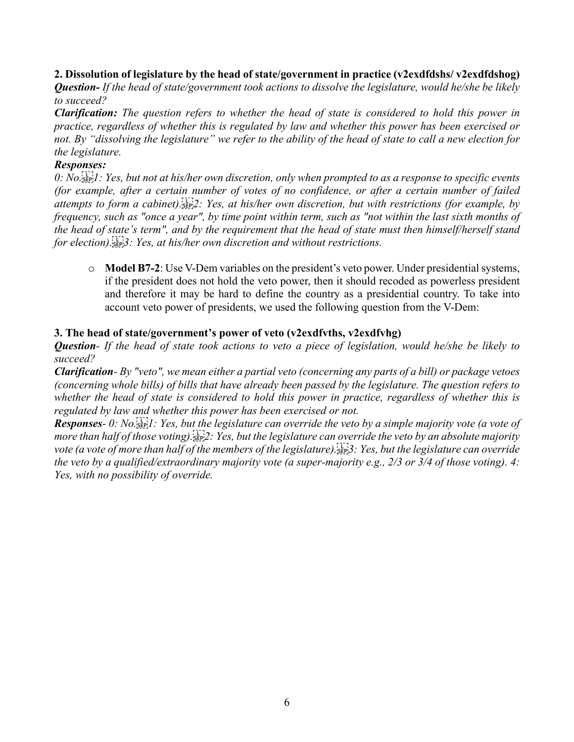### **2. Dissolution of legislature by the head of state/government in practice (v2exdfdshs/ v2exdfdshog)**

*Question- If the head of state/government took actions to dissolve the legislature, would he/she be likely to succeed?* 

*Clarification: The question refers to whether the head of state is considered to hold this power in practice, regardless of whether this is regulated by law and whether this power has been exercised or not. By "dissolving the legislature" we refer to the ability of the head of state to call a new election for the legislature.* 

### *Responses:*

*0: No.
1: Yes, but not at his/her own discretion, only when prompted to as a response to specific events (for example, after a certain number of votes of no confidence, or after a certain number of failed attempts to form a cabinet).
2: Yes, at his/her own discretion, but with restrictions (for example, by frequency, such as "once a year", by time point within term, such as "not within the last sixth months of the head of state's term", and by the requirement that the head of state must then himself/herself stand for election).
3: Yes, at his/her own discretion and without restrictions.* 

o **Model B7-2**: Use V-Dem variables on the president's veto power. Under presidential systems, if the president does not hold the veto power, then it should recoded as powerless president and therefore it may be hard to define the country as a presidential country. To take into account veto power of presidents, we used the following question from the V-Dem:

### **3. The head of state/government's power of veto (v2exdfvths, v2exdfvhg)**

*Question- If the head of state took actions to veto a piece of legislation, would he/she be likely to succeed?* 

*Clarification- By "veto", we mean either a partial veto (concerning any parts of a bill) or package vetoes (concerning whole bills) of bills that have already been passed by the legislature. The question refers to whether the head of state is considered to hold this power in practice, regardless of whether this is regulated by law and whether this power has been exercised or not.* 

*Responses- 0: No.
1: Yes, but the legislature can override the veto by a simple majority vote (a vote of more than half of those voting).
2: Yes, but the legislature can override the veto by an absolute majority vote (a vote of more than half of the members of the legislature).
3: Yes, but the legislature can override the veto by a qualified/extraordinary majority vote (a super-majority e.g., 2/3 or 3/4 of those voting). 4: Yes, with no possibility of override.*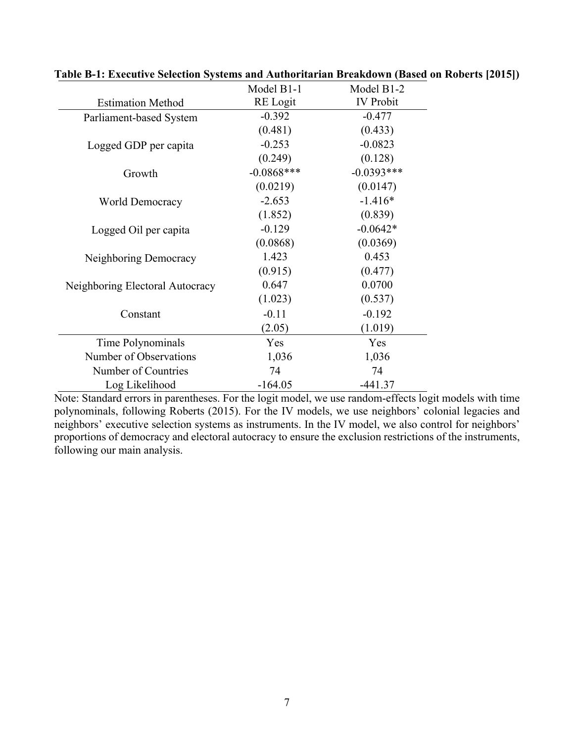|                                 | Model B1-1      | Model B1-2       |
|---------------------------------|-----------------|------------------|
| <b>Estimation Method</b>        | <b>RE</b> Logit | <b>IV</b> Probit |
| Parliament-based System         | $-0.392$        | $-0.477$         |
|                                 | (0.481)         | (0.433)          |
| Logged GDP per capita           | $-0.253$        | $-0.0823$        |
|                                 | (0.249)         | (0.128)          |
| Growth                          | $-0.0868***$    | $-0.0393***$     |
|                                 | (0.0219)        | (0.0147)         |
| <b>World Democracy</b>          | $-2.653$        | $-1.416*$        |
|                                 | (1.852)         | (0.839)          |
| Logged Oil per capita           | $-0.129$        | $-0.0642*$       |
|                                 | (0.0868)        | (0.0369)         |
| Neighboring Democracy           | 1.423           | 0.453            |
|                                 | (0.915)         | (0.477)          |
| Neighboring Electoral Autocracy | 0.647           | 0.0700           |
|                                 | (1.023)         | (0.537)          |
| Constant                        | $-0.11$         | $-0.192$         |
|                                 | (2.05)          | (1.019)          |
| Time Polynominals               | Yes             | Yes              |
| Number of Observations          | 1,036           | 1,036            |
| Number of Countries             | 74              | 74               |
| Log Likelihood                  | $-164.05$       | $-441.37$        |

| Table B-1: Executive Selection Systems and Authoritarian Breakdown (Based on Roberts [2015]) |  |  |  |  |
|----------------------------------------------------------------------------------------------|--|--|--|--|
|----------------------------------------------------------------------------------------------|--|--|--|--|

Note: Standard errors in parentheses. For the logit model, we use random-effects logit models with time polynominals, following Roberts (2015). For the IV models, we use neighbors' colonial legacies and neighbors' executive selection systems as instruments. In the IV model, we also control for neighbors' proportions of democracy and electoral autocracy to ensure the exclusion restrictions of the instruments, following our main analysis.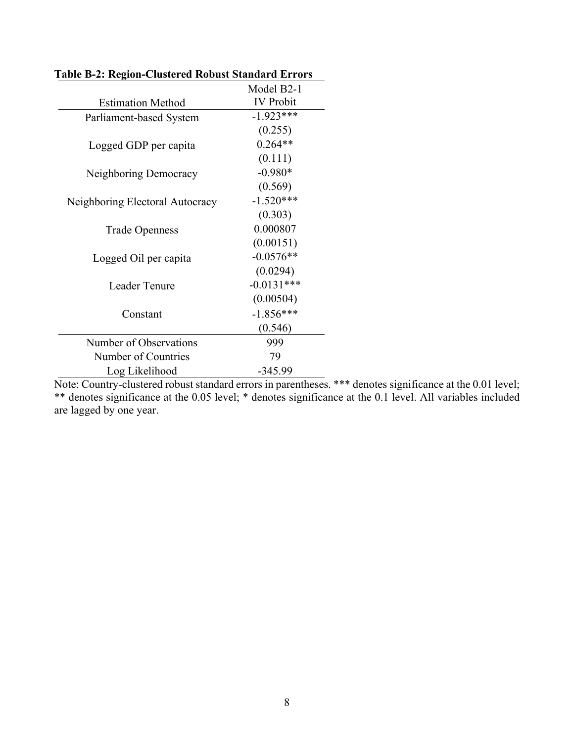|                                 | Model B2-1       |
|---------------------------------|------------------|
| <b>Estimation Method</b>        | <b>IV</b> Probit |
| Parliament-based System         | $-1.923***$      |
|                                 | (0.255)          |
| Logged GDP per capita           | $0.264**$        |
|                                 | (0.111)          |
| Neighboring Democracy           | $-0.980*$        |
|                                 | (0.569)          |
| Neighboring Electoral Autocracy | $-1.520***$      |
|                                 | (0.303)          |
| <b>Trade Openness</b>           | 0.000807         |
|                                 | (0.00151)        |
| Logged Oil per capita           | $-0.0576**$      |
|                                 | (0.0294)         |
| <b>Leader Tenure</b>            | $-0.0131***$     |
|                                 | (0.00504)        |
| Constant                        | $-1.856***$      |
|                                 | (0.546)          |
| Number of Observations          | 999              |
| Number of Countries             | 79               |
| Log Likelihood                  | $-345.99$        |

**Table B-2: Region-Clustered Robust Standard Errors**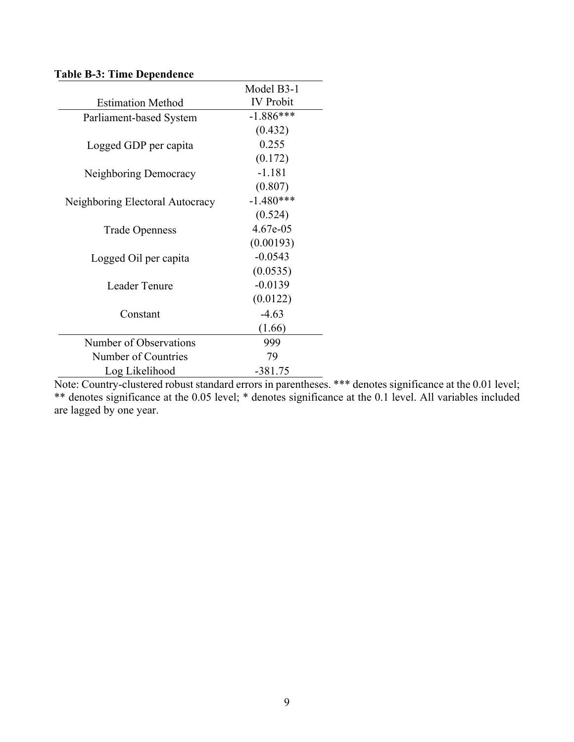|                                 | Model B3-1       |
|---------------------------------|------------------|
| <b>Estimation Method</b>        | <b>IV</b> Probit |
| Parliament-based System         | $-1.886***$      |
|                                 | (0.432)          |
| Logged GDP per capita           | 0.255            |
|                                 | (0.172)          |
| Neighboring Democracy           | $-1.181$         |
|                                 | (0.807)          |
| Neighboring Electoral Autocracy | $-1.480***$      |
|                                 | (0.524)          |
| <b>Trade Openness</b>           | 4.67e-05         |
|                                 | (0.00193)        |
| Logged Oil per capita           | $-0.0543$        |
|                                 | (0.0535)         |
| Leader Tenure                   | $-0.0139$        |
|                                 | (0.0122)         |
| Constant                        | $-4.63$          |
|                                 | (1.66)           |
| Number of Observations          | 999              |
| Number of Countries             | 79               |
| Log Likelihood                  | $-381.75$        |

# **Table B-3: Time Dependence**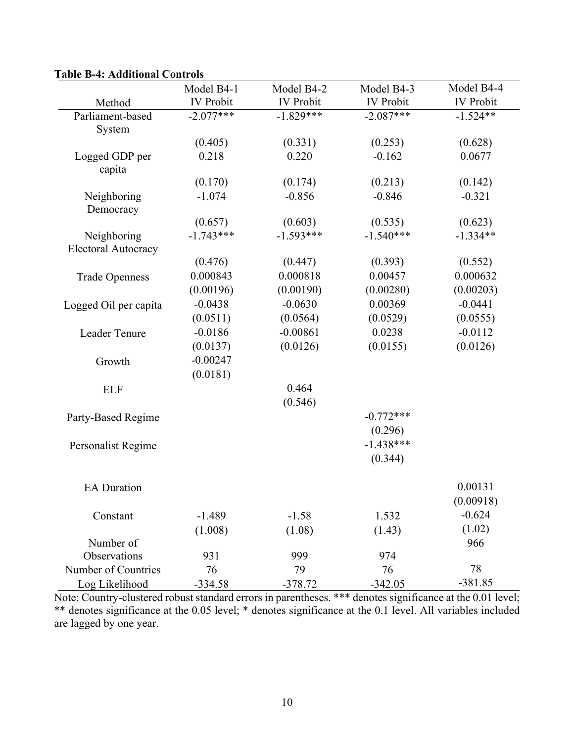|                            | Model B4-1       | Model B4-2       | Model B4-3       | Model B4-4       |
|----------------------------|------------------|------------------|------------------|------------------|
| Method                     | <b>IV</b> Probit | <b>IV</b> Probit | <b>IV</b> Probit | <b>IV</b> Probit |
| Parliament-based           | $-2.077***$      | $-1.829***$      | $-2.087***$      | $-1.524**$       |
| System                     |                  |                  |                  |                  |
|                            | (0.405)          | (0.331)          | (0.253)          | (0.628)          |
| Logged GDP per             | 0.218            | 0.220            | $-0.162$         | 0.0677           |
| capita                     | (0.170)          | (0.174)          | (0.213)          | (0.142)          |
|                            | $-1.074$         | $-0.856$         | $-0.846$         | $-0.321$         |
| Neighboring<br>Democracy   |                  |                  |                  |                  |
|                            | (0.657)          | (0.603)          | (0.535)          | (0.623)          |
| Neighboring                | $-1.743***$      | $-1.593***$      | $-1.540***$      | $-1.334**$       |
| <b>Electoral Autocracy</b> |                  |                  |                  |                  |
|                            | (0.476)          | (0.447)          | (0.393)          | (0.552)          |
| <b>Trade Openness</b>      | 0.000843         | 0.000818         | 0.00457          | 0.000632         |
|                            | (0.00196)        | (0.00190)        | (0.00280)        | (0.00203)        |
| Logged Oil per capita      | $-0.0438$        | $-0.0630$        | 0.00369          | $-0.0441$        |
|                            | (0.0511)         | (0.0564)         | (0.0529)         | (0.0555)         |
| Leader Tenure              | $-0.0186$        | $-0.00861$       | 0.0238           | $-0.0112$        |
|                            | (0.0137)         | (0.0126)         | (0.0155)         | (0.0126)         |
| Growth                     | $-0.00247$       |                  |                  |                  |
|                            | (0.0181)         |                  |                  |                  |
| <b>ELF</b>                 |                  | 0.464            |                  |                  |
|                            |                  | (0.546)          |                  |                  |
| Party-Based Regime         |                  |                  | $-0.772***$      |                  |
|                            |                  |                  | (0.296)          |                  |
| Personalist Regime         |                  |                  | $-1.438***$      |                  |
|                            |                  |                  | (0.344)          |                  |
| <b>EA</b> Duration         |                  |                  |                  | 0.00131          |
|                            |                  |                  |                  | (0.00918)        |
| Constant                   | $-1.489$         | $-1.58$          | 1.532            | $-0.624$         |
|                            | (1.008)          | (1.08)           | (1.43)           | (1.02)           |
| Number of                  |                  |                  |                  | 966              |
| Observations               | 931              | 999              | 974              |                  |
| Number of Countries        | 76               | 79               | 76               | 78               |
| Log Likelihood             | $-334.58$        | $-378.72$        | $-342.05$        | $-381.85$        |

### **Table B-4: Additional Controls**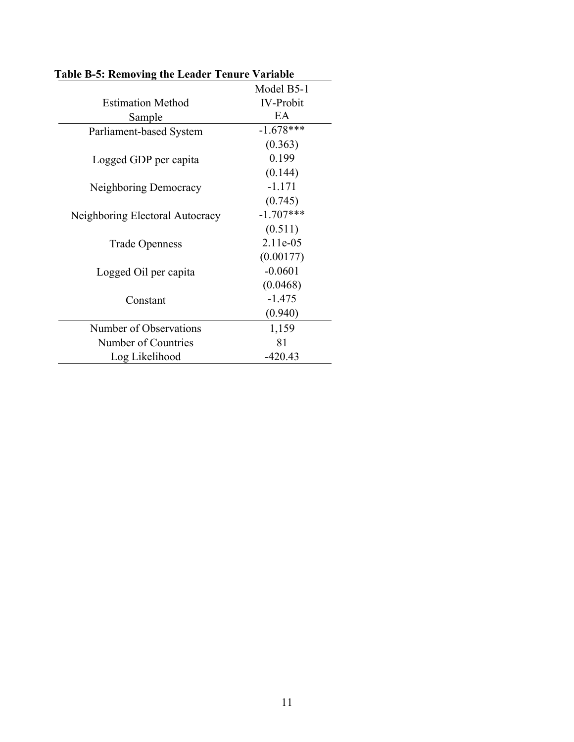|                                 | Model B5-1       |
|---------------------------------|------------------|
| <b>Estimation Method</b>        | <b>IV-Probit</b> |
| Sample                          | EA               |
| Parliament-based System         | $-1.678***$      |
|                                 | (0.363)          |
| Logged GDP per capita           | 0.199            |
|                                 | (0.144)          |
| Neighboring Democracy           | $-1.171$         |
|                                 | (0.745)          |
| Neighboring Electoral Autocracy | $-1.707***$      |
|                                 | (0.511)          |
| <b>Trade Openness</b>           | 2.11e-05         |
|                                 | (0.00177)        |
| Logged Oil per capita           | $-0.0601$        |
|                                 | (0.0468)         |
| Constant                        | $-1.475$         |
|                                 | (0.940)          |
| Number of Observations          | 1,159            |
| Number of Countries             | 81               |
| Log Likelihood                  | $-420.43$        |

**Table B-5: Removing the Leader Tenure Variable**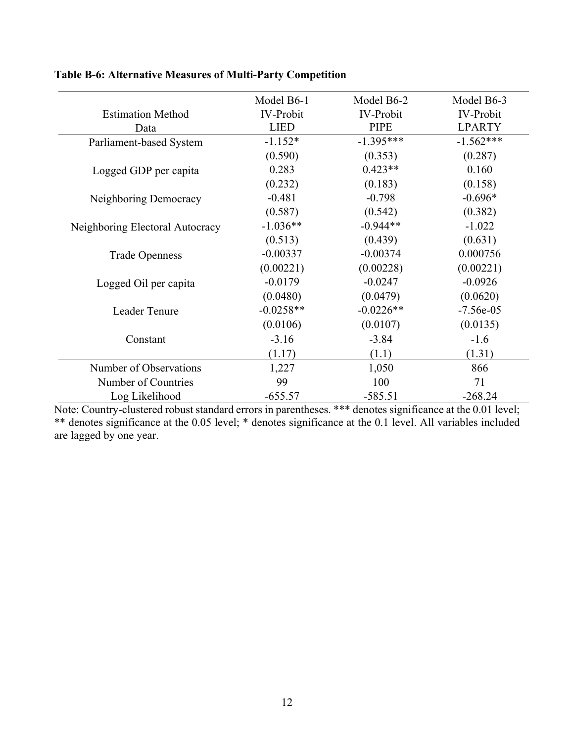|                                 | Model B6-1       | Model B6-2       | Model B6-3       |
|---------------------------------|------------------|------------------|------------------|
| <b>Estimation Method</b>        | <b>IV-Probit</b> | <b>IV-Probit</b> | <b>IV-Probit</b> |
| Data                            | <b>LIED</b>      | <b>PIPE</b>      | <b>LPARTY</b>    |
| Parliament-based System         | $-1.152*$        | $-1.395***$      | $-1.562***$      |
|                                 | (0.590)          | (0.353)          | (0.287)          |
| Logged GDP per capita           | 0.283            | $0.423**$        | 0.160            |
|                                 | (0.232)          | (0.183)          | (0.158)          |
| Neighboring Democracy           | $-0.481$         | $-0.798$         | $-0.696*$        |
|                                 | (0.587)          | (0.542)          | (0.382)          |
| Neighboring Electoral Autocracy | $-1.036**$       | $-0.944**$       | $-1.022$         |
|                                 | (0.513)          | (0.439)          | (0.631)          |
| <b>Trade Openness</b>           | $-0.00337$       | $-0.00374$       | 0.000756         |
|                                 | (0.00221)        | (0.00228)        | (0.00221)        |
| Logged Oil per capita           | $-0.0179$        | $-0.0247$        | $-0.0926$        |
|                                 | (0.0480)         | (0.0479)         | (0.0620)         |
| Leader Tenure                   | $-0.0258**$      | $-0.0226**$      | $-7.56e-05$      |
|                                 | (0.0106)         | (0.0107)         | (0.0135)         |
| Constant                        | $-3.16$          | $-3.84$          | $-1.6$           |
|                                 | (1.17)           | (1.1)            | (1.31)           |
| Number of Observations          | 1,227            | 1,050            | 866              |
| Number of Countries             | 99               | 100              | 71               |
| Log Likelihood                  | $-655.57$        | $-585.51$        | $-268.24$        |

# **Table B-6: Alternative Measures of Multi-Party Competition**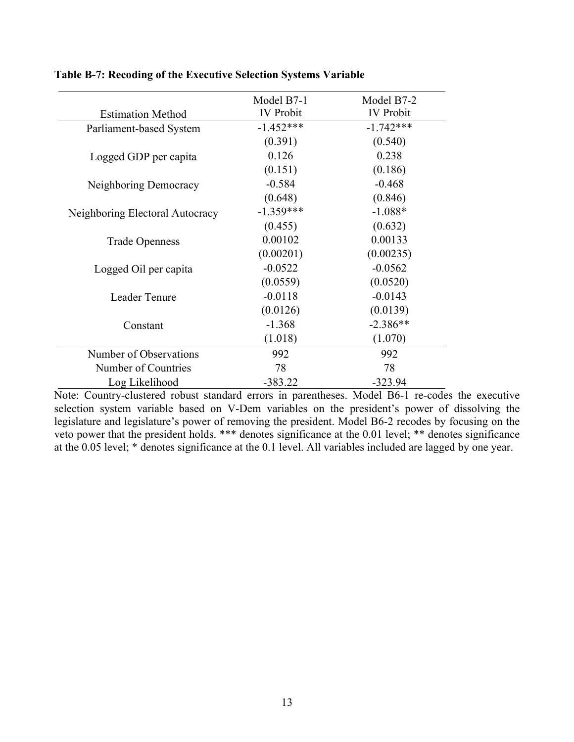|                                 | Model B7-1       | Model B7-2       |
|---------------------------------|------------------|------------------|
| <b>Estimation Method</b>        | <b>IV Probit</b> | <b>IV</b> Probit |
| Parliament-based System         | $-1.452***$      | $-1.742***$      |
|                                 | (0.391)          | (0.540)          |
| Logged GDP per capita           | 0.126            | 0.238            |
|                                 | (0.151)          | (0.186)          |
| Neighboring Democracy           | $-0.584$         | $-0.468$         |
|                                 | (0.648)          | (0.846)          |
| Neighboring Electoral Autocracy | $-1.359***$      | $-1.088*$        |
|                                 | (0.455)          | (0.632)          |
| <b>Trade Openness</b>           | 0.00102          | 0.00133          |
|                                 | (0.00201)        | (0.00235)        |
| Logged Oil per capita           | $-0.0522$        | $-0.0562$        |
|                                 | (0.0559)         | (0.0520)         |
| Leader Tenure                   | $-0.0118$        | $-0.0143$        |
|                                 | (0.0126)         | (0.0139)         |
| Constant                        | $-1.368$         | $-2.386**$       |
|                                 | (1.018)          | (1.070)          |
| Number of Observations          | 992              | 992              |
| Number of Countries             | 78               | 78               |
| Log Likelihood                  | $-383.22$        | $-323.94$        |

# **Table B-7: Recoding of the Executive Selection Systems Variable**

Note: Country-clustered robust standard errors in parentheses. Model B6-1 re-codes the executive selection system variable based on V-Dem variables on the president's power of dissolving the legislature and legislature's power of removing the president. Model B6-2 recodes by focusing on the veto power that the president holds. \*\*\* denotes significance at the 0.01 level; \*\* denotes significance at the 0.05 level; \* denotes significance at the 0.1 level. All variables included are lagged by one year.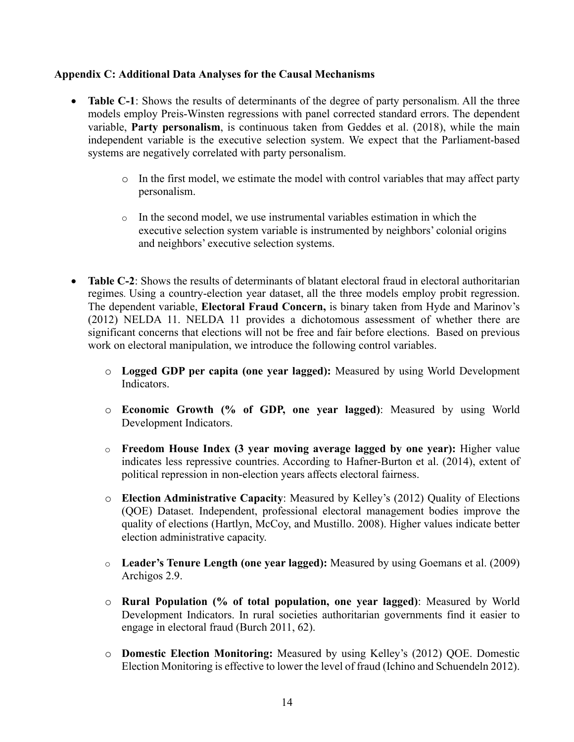### **Appendix C: Additional Data Analyses for the Causal Mechanisms**

- **Table C-1**: Shows the results of determinants of the degree of party personalism. All the three models employ Preis-Winsten regressions with panel corrected standard errors. The dependent variable, **Party personalism**, is continuous taken from Geddes et al. (2018), while the main independent variable is the executive selection system. We expect that the Parliament-based systems are negatively correlated with party personalism.
	- o In the first model, we estimate the model with control variables that may affect party personalism.
	- $\circ$  In the second model, we use instrumental variables estimation in which the executive selection system variable is instrumented by neighbors' colonial origins and neighbors' executive selection systems.
- **Table C-2:** Shows the results of determinants of blatant electoral fraud in electoral authoritarian regimes. Using a country-election year dataset, all the three models employ probit regression. The dependent variable, **Electoral Fraud Concern,** is binary taken from Hyde and Marinov's (2012) NELDA 11. NELDA 11 provides a dichotomous assessment of whether there are significant concerns that elections will not be free and fair before elections. Based on previous work on electoral manipulation, we introduce the following control variables.
	- o **Logged GDP per capita (one year lagged):** Measured by using World Development Indicators.
	- o **Economic Growth (% of GDP, one year lagged)**: Measured by using World Development Indicators.
	- o **Freedom House Index (3 year moving average lagged by one year):** Higher value indicates less repressive countries. According to Hafner-Burton et al. (2014), extent of political repression in non-election years affects electoral fairness.
	- o **Election Administrative Capacity**: Measured by Kelley's (2012) Quality of Elections (QOE) Dataset. Independent, professional electoral management bodies improve the quality of elections (Hartlyn, McCoy, and Mustillo. 2008). Higher values indicate better election administrative capacity.
	- o **Leader's Tenure Length (one year lagged):** Measured by using Goemans et al. (2009) Archigos 2.9.
	- o **Rural Population (% of total population, one year lagged)**: Measured by World Development Indicators. In rural societies authoritarian governments find it easier to engage in electoral fraud (Burch 2011, 62).
	- o **Domestic Election Monitoring:** Measured by using Kelley's (2012) QOE. Domestic Election Monitoring is effective to lower the level of fraud (Ichino and Schuendeln 2012).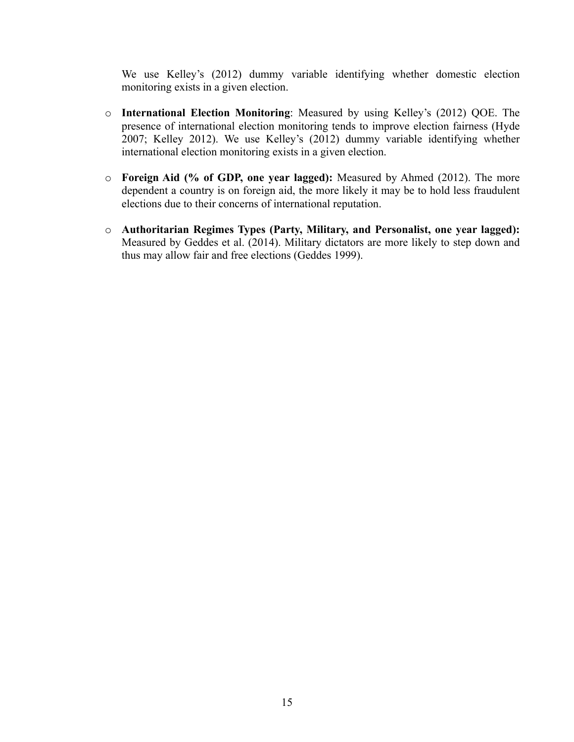We use Kelley's (2012) dummy variable identifying whether domestic election monitoring exists in a given election.

- o **International Election Monitoring**: Measured by using Kelley's (2012) QOE. The presence of international election monitoring tends to improve election fairness (Hyde 2007; Kelley 2012). We use Kelley's (2012) dummy variable identifying whether international election monitoring exists in a given election.
- o **Foreign Aid (% of GDP, one year lagged):** Measured by Ahmed (2012). The more dependent a country is on foreign aid, the more likely it may be to hold less fraudulent elections due to their concerns of international reputation.
- o **Authoritarian Regimes Types (Party, Military, and Personalist, one year lagged):** Measured by Geddes et al. (2014). Military dictators are more likely to step down and thus may allow fair and free elections (Geddes 1999).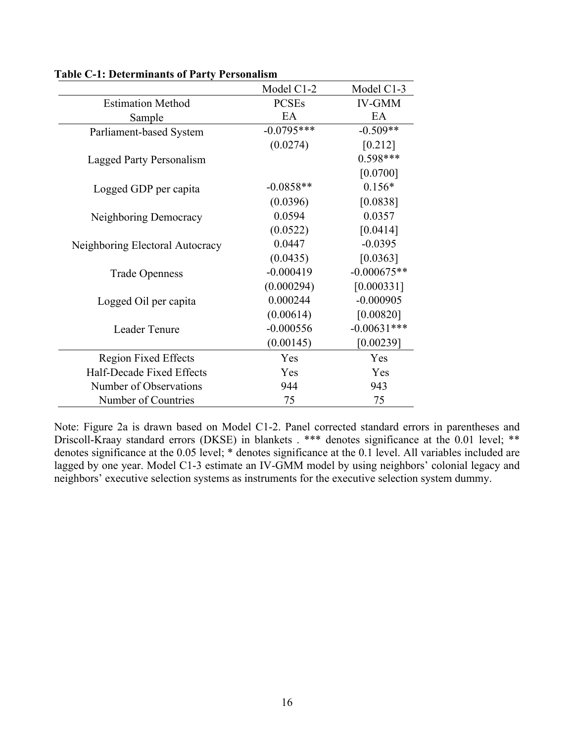|                                 | Model C1-2   | Model C1-3    |
|---------------------------------|--------------|---------------|
| <b>Estimation Method</b>        | <b>PCSEs</b> | <b>IV-GMM</b> |
| Sample                          | EA           | EA            |
| Parliament-based System         | $-0.0795***$ | $-0.509**$    |
|                                 | (0.0274)     | [0.212]       |
| Lagged Party Personalism        |              | $0.598***$    |
|                                 |              | [0.0700]      |
| Logged GDP per capita           | $-0.0858**$  | $0.156*$      |
|                                 | (0.0396)     | [0.0838]      |
| Neighboring Democracy           | 0.0594       | 0.0357        |
|                                 | (0.0522)     | [0.0414]      |
| Neighboring Electoral Autocracy | 0.0447       | $-0.0395$     |
|                                 | (0.0435)     | [0.0363]      |
| <b>Trade Openness</b>           | $-0.000419$  | $-0.000675**$ |
|                                 | (0.000294)   | [0.000331]    |
| Logged Oil per capita           | 0.000244     | $-0.000905$   |
|                                 | (0.00614)    | [0.00820]     |
| Leader Tenure                   | $-0.000556$  | $-0.00631***$ |
|                                 | (0.00145)    | [0.00239]     |
| <b>Region Fixed Effects</b>     | Yes          | Yes           |
| Half-Decade Fixed Effects       | Yes          | Yes           |
| Number of Observations          | 944          | 943           |
| Number of Countries             | 75           | 75            |

**Table C-1: Determinants of Party Personalism**

Note: Figure 2a is drawn based on Model C1-2. Panel corrected standard errors in parentheses and Driscoll-Kraay standard errors (DKSE) in blankets . \*\*\* denotes significance at the 0.01 level; \*\* denotes significance at the 0.05 level; \* denotes significance at the 0.1 level. All variables included are lagged by one year. Model C1-3 estimate an IV-GMM model by using neighbors' colonial legacy and neighbors' executive selection systems as instruments for the executive selection system dummy.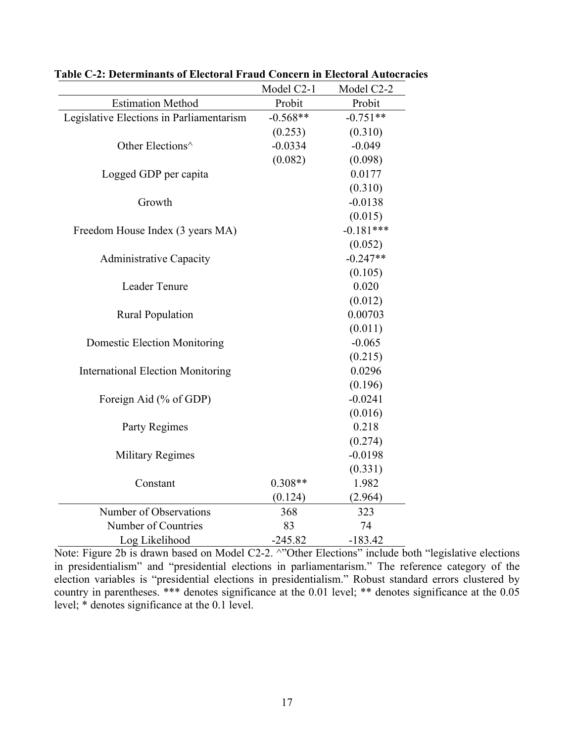|                                          | Model C2-1 | Model C2-2  |
|------------------------------------------|------------|-------------|
| <b>Estimation Method</b>                 | Probit     | Probit      |
| Legislative Elections in Parliamentarism | $-0.568**$ | $-0.751**$  |
|                                          | (0.253)    | (0.310)     |
| Other Elections^                         | $-0.0334$  | $-0.049$    |
|                                          | (0.082)    | (0.098)     |
| Logged GDP per capita                    |            | 0.0177      |
|                                          |            | (0.310)     |
| Growth                                   |            | $-0.0138$   |
|                                          |            | (0.015)     |
| Freedom House Index (3 years MA)         |            | $-0.181***$ |
|                                          |            | (0.052)     |
| <b>Administrative Capacity</b>           |            | $-0.247**$  |
|                                          |            | (0.105)     |
| Leader Tenure                            |            | 0.020       |
|                                          |            | (0.012)     |
| <b>Rural Population</b>                  |            | 0.00703     |
|                                          |            | (0.011)     |
| <b>Domestic Election Monitoring</b>      |            | $-0.065$    |
|                                          |            | (0.215)     |
| <b>International Election Monitoring</b> |            | 0.0296      |
|                                          |            | (0.196)     |
| Foreign Aid (% of GDP)                   |            | $-0.0241$   |
|                                          |            | (0.016)     |
| Party Regimes                            |            | 0.218       |
|                                          |            | (0.274)     |
| <b>Military Regimes</b>                  |            | $-0.0198$   |
|                                          |            | (0.331)     |
| Constant                                 | $0.308**$  | 1.982       |
|                                          | (0.124)    | (2.964)     |
| Number of Observations                   | 368        | 323         |
| Number of Countries                      | 83         | 74          |
| Log Likelihood                           | $-245.82$  | $-183.42$   |

**Table C-2: Determinants of Electoral Fraud Concern in Electoral Autocracies**

Note: Figure 2b is drawn based on Model C2-2. ^"Other Elections" include both "legislative elections" in presidentialism" and "presidential elections in parliamentarism." The reference category of the election variables is "presidential elections in presidentialism." Robust standard errors clustered by country in parentheses. \*\*\* denotes significance at the 0.01 level; \*\* denotes significance at the 0.05 level; \* denotes significance at the 0.1 level.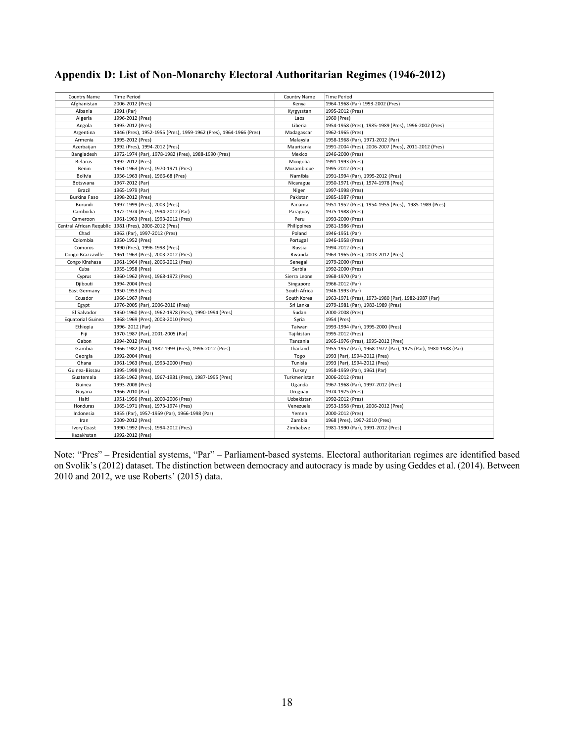# **Appendix D: List of Non-Monarchy Electoral Authoritarian Regimes (1946-2012)**

| Country Name             | <b>Time Period</b>                                                | Country Name | <b>Time Period</b>                                            |
|--------------------------|-------------------------------------------------------------------|--------------|---------------------------------------------------------------|
| Afghanistan              | 2006-2012 (Pres)                                                  | Kenya        | 1964-1968 (Par) 1993-2002 (Pres)                              |
| Albania                  | 1991 (Par)                                                        | Kyrgyzstan   | 1995-2012 (Pres)                                              |
| Algeria                  | 1996-2012 (Pres)                                                  | Laos         | 1960 (Pres)                                                   |
| Angola                   | 1993-2012 (Pres)                                                  | Liberia      | 1954-1958 (Pres), 1985-1989 (Pres), 1996-2002 (Pres)          |
| Argentina                | 1946 (Pres), 1952-1955 (Pres), 1959-1962 (Pres), 1964-1966 (Pres) | Madagascar   | 1962-1965 (Pres)                                              |
| Armenia                  | 1995-2012 (Pres)                                                  | Malaysia     | 1958-1968 (Par), 1971-2012 (Par)                              |
| Azerbaijan               | 1992 (Pres), 1994-2012 (Pres)                                     | Mauritania   | 1991-2004 (Pres), 2006-2007 (Pres), 2011-2012 (Pres)          |
| Bangladesh               | 1972-1974 (Par), 1978-1982 (Pres), 1988-1990 (Pres)               | Mexico       | 1946-2000 (Pres)                                              |
| <b>Belarus</b>           | 1992-2012 (Pres)                                                  | Mongolia     | 1991-1993 (Pres)                                              |
| Benin                    | 1961-1963 (Pres), 1970-1971 (Pres)                                | Mozambique   | 1995-2012 (Pres)                                              |
| Bolivia                  | 1956-1963 (Pres), 1966-68 (Pres)                                  | Namibia      | 1991-1994 (Par), 1995-2012 (Pres)                             |
| Botswana                 | 1967-2012 (Par)                                                   | Nicaragua    | 1950-1971 (Pres), 1974-1978 (Pres)                            |
| Brazil                   | 1965-1979 (Par)                                                   | Niger        | 1997-1998 (Pres)                                              |
| Burkina Faso             | 1998-2012 (Pres)                                                  | Pakistan     | 1985-1987 (Pres)                                              |
| Burundi                  | 1997-1999 (Pres), 2003 (Pres)                                     | Panama       | 1951-1952 (Pres), 1954-1955 (Pres), 1985-1989 (Pres)          |
| Cambodia                 | 1972-1974 (Pres), 1994-2012 (Par)                                 | Paraguay     | 1975-1988 (Pres)                                              |
| Cameroon                 | 1961-1963 (Pres), 1993-2012 (Pres)                                | Peru         | 1993-2000 (Pres)                                              |
|                          | Central African Regublic 1981 (Pres), 2006-2012 (Pres)            | Philippines  | 1981-1986 (Pres)                                              |
| Chad                     | 1962 (Par), 1997-2012 (Pres)                                      | Poland       | 1946-1951 (Par)                                               |
| Colombia                 | 1950-1952 (Pres)                                                  | Portugal     | 1946-1958 (Pres)                                              |
| Comoros                  | 1990 (Pres), 1996-1998 (Pres)                                     | Russia       | 1994-2012 (Pres)                                              |
| Congo Brazzaville        | 1961-1963 (Pres), 2003-2012 (Pres)                                | Rwanda       | 1963-1965 (Pres), 2003-2012 (Pres)                            |
| Congo Kinshasa           | 1961-1964 (Pres), 2006-2012 (Pres)                                | Senegal      | 1979-2000 (Pres)                                              |
| Cuba                     | 1955-1958 (Pres)                                                  | Serbia       | 1992-2000 (Pres)                                              |
| Cyprus                   | 1960-1962 (Pres), 1968-1972 (Pres)                                | Sierra Leone | 1968-1970 (Par)                                               |
| Djibouti                 | 1994-2004 (Pres)                                                  | Singapore    | 1966-2012 (Par)                                               |
| East Germany             | 1950-1953 (Pres)                                                  | South Africa | 1946-1993 (Par)                                               |
| Ecuador                  | 1966-1967 (Pres)                                                  | South Korea  | 1963-1971 (Pres), 1973-1980 (Par), 1982-1987 (Par)            |
| Egypt                    | 1976-2005 (Par), 2006-2010 (Pres)                                 | Sri Lanka    | 1979-1981 (Par), 1983-1989 (Pres)                             |
| El Salvador              | 1950-1960 (Pres), 1962-1978 (Pres), 1990-1994 (Pres)              | Sudan        | 2000-2008 (Pres)                                              |
| <b>Equatorial Guinea</b> | 1968-1969 (Pres), 2003-2010 (Pres)                                | Syria        | 1954 (Pres)                                                   |
| Ethiopia                 | 1996-2012 (Par)                                                   | Taiwan       | 1993-1994 (Par), 1995-2000 (Pres)                             |
| Fiji                     | 1970-1987 (Par), 2001-2005 (Par)                                  | Tajikistan   | 1995-2012 (Pres)                                              |
| Gabon                    | 1994-2012 (Pres)                                                  | Tanzania     | 1965-1976 (Pres), 1995-2012 (Pres)                            |
| Gambia                   | 1966-1982 (Par), 1982-1993 (Pres), 1996-2012 (Pres)               | Thailand     | 1955-1957 (Par), 1968-1972 (Par), 1975 (Par), 1980-1988 (Par) |
| Georgia                  | 1992-2004 (Pres)                                                  | Togo         | 1993 (Par), 1994-2012 (Pres)                                  |
| Ghana                    | 1961-1963 (Pres), 1993-2000 (Pres)                                | Tunisia      | 1993 (Par), 1994-2012 (Pres)                                  |
| Guinea-Bissau            | 1995-1998 (Pres)                                                  | Turkey       | 1958-1959 (Par), 1961 (Par)                                   |
| Guatemala                | 1958-1962 (Pres), 1967-1981 (Pres), 1987-1995 (Pres)              | Turkmenistan | 2006-2012 (Pres)                                              |
| Guinea                   | 1993-2008 (Pres)                                                  | Uganda       | 1967-1968 (Par), 1997-2012 (Pres)                             |
| Guyana                   | 1966-2010 (Par)                                                   | Uruguay      | 1974-1975 (Pres)                                              |
| Haiti                    | 1951-1956 (Pres), 2000-2006 (Pres)                                | Uzbekistan   | 1992-2012 (Pres)                                              |
| Honduras                 | 1965-1971 (Pres), 1973-1974 (Pres)                                | Venezuela    | 1953-1958 (Pres), 2006-2012 (Pres)                            |
| Indonesia                | 1955 (Par), 1957-1959 (Par), 1966-1998 (Par)                      | Yemen        | 2000-2012 (Pres)                                              |
| Iran                     | 2009-2012 (Pres)                                                  | Zambia       | 1968 (Pres), 1997-2010 (Pres)                                 |
| Ivory Coast              | 1990-1992 (Pres), 1994-2012 (Pres)                                | Zimbabwe     | 1981-1990 (Par), 1991-2012 (Pres)                             |
| Kazakhstan               | 1992-2012 (Pres)                                                  |              |                                                               |

Note: "Pres" – Presidential systems, "Par" – Parliament-based systems. Electoral authoritarian regimes are identified based on Svolik's (2012) dataset. The distinction between democracy and autocracy is made by using Geddes et al. (2014). Between 2010 and 2012, we use Roberts' (2015) data.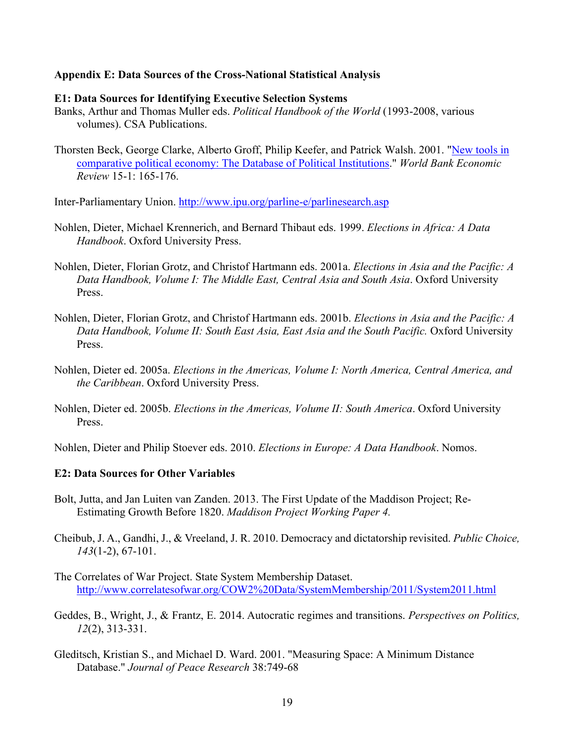#### **Appendix E: Data Sources of the Cross-National Statistical Analysis**

#### **E1: Data Sources for Identifying Executive Selection Systems**

- Banks, Arthur and Thomas Muller eds. *Political Handbook of the World* (1993-2008, various volumes). CSA Publications.
- Thorsten Beck, George Clarke, Alberto Groff, Philip Keefer, and Patrick Walsh. 2001. "New tools in comparative political economy: The Database of Political Institutions." *World Bank Economic Review* 15-1: 165-176.

Inter-Parliamentary Union. http://www.ipu.org/parline-e/parlinesearch.asp

- Nohlen, Dieter, Michael Krennerich, and Bernard Thibaut eds. 1999. *Elections in Africa: A Data Handbook*. Oxford University Press.
- Nohlen, Dieter, Florian Grotz, and Christof Hartmann eds. 2001a. *Elections in Asia and the Pacific: A Data Handbook, Volume I: The Middle East, Central Asia and South Asia*. Oxford University Press.
- Nohlen, Dieter, Florian Grotz, and Christof Hartmann eds. 2001b. *Elections in Asia and the Pacific: A*  Data Handbook, Volume II: South East Asia, East Asia and the South Pacific. Oxford University Press.
- Nohlen, Dieter ed. 2005a. *Elections in the Americas, Volume I: North America, Central America, and the Caribbean*. Oxford University Press.
- Nohlen, Dieter ed. 2005b. *Elections in the Americas, Volume II: South America*. Oxford University Press.

Nohlen, Dieter and Philip Stoever eds. 2010. *Elections in Europe: A Data Handbook*. Nomos.

#### **E2: Data Sources for Other Variables**

- Bolt, Jutta, and Jan Luiten van Zanden. 2013. The First Update of the Maddison Project; Re-Estimating Growth Before 1820. *Maddison Project Working Paper 4.*
- Cheibub, J. A., Gandhi, J., & Vreeland, J. R. 2010. Democracy and dictatorship revisited. *Public Choice, 143*(1-2), 67-101.
- The Correlates of War Project. State System Membership Dataset. http://www.correlatesofwar.org/COW2%20Data/SystemMembership/2011/System2011.html
- Geddes, B., Wright, J., & Frantz, E. 2014. Autocratic regimes and transitions. *Perspectives on Politics, 12*(2), 313-331.
- Gleditsch, Kristian S., and Michael D. Ward. 2001. "Measuring Space: A Minimum Distance Database." *Journal of Peace Research* 38:749-68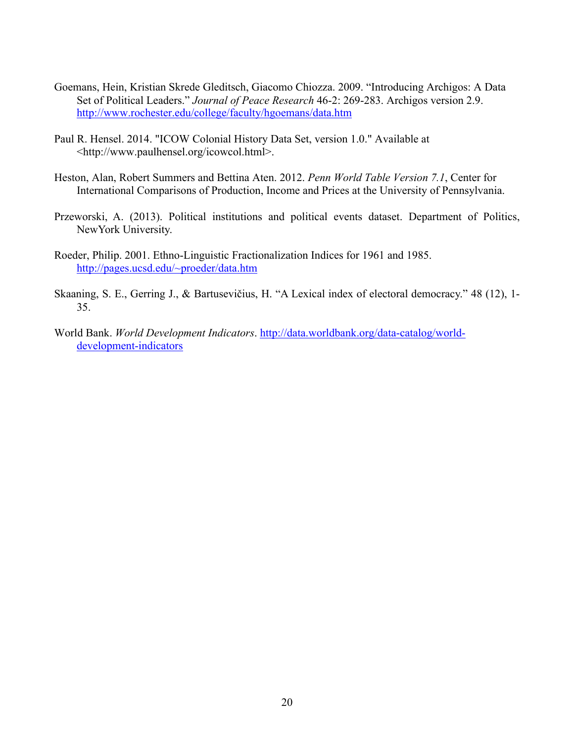- Goemans, Hein, Kristian Skrede Gleditsch, Giacomo Chiozza. 2009. "Introducing Archigos: A Data Set of Political Leaders." *Journal of Peace Research* 46-2: 269-283. Archigos version 2.9. http://www.rochester.edu/college/faculty/hgoemans/data.htm
- Paul R. Hensel. 2014. "ICOW Colonial History Data Set, version 1.0." Available at <http://www.paulhensel.org/icowcol.html>.
- Heston, Alan, Robert Summers and Bettina Aten. 2012. *Penn World Table Version 7.1*, Center for International Comparisons of Production, Income and Prices at the University of Pennsylvania.
- Przeworski, A. (2013). Political institutions and political events dataset. Department of Politics, NewYork University.
- Roeder, Philip. 2001. Ethno-Linguistic Fractionalization Indices for 1961 and 1985. http://pages.ucsd.edu/~proeder/data.htm
- Skaaning, S. E., Gerring J., & Bartusevičius, H. "A Lexical index of electoral democracy." 48 (12), 1- 35.
- World Bank. *World Development Indicators*. http://data.worldbank.org/data-catalog/worlddevelopment-indicators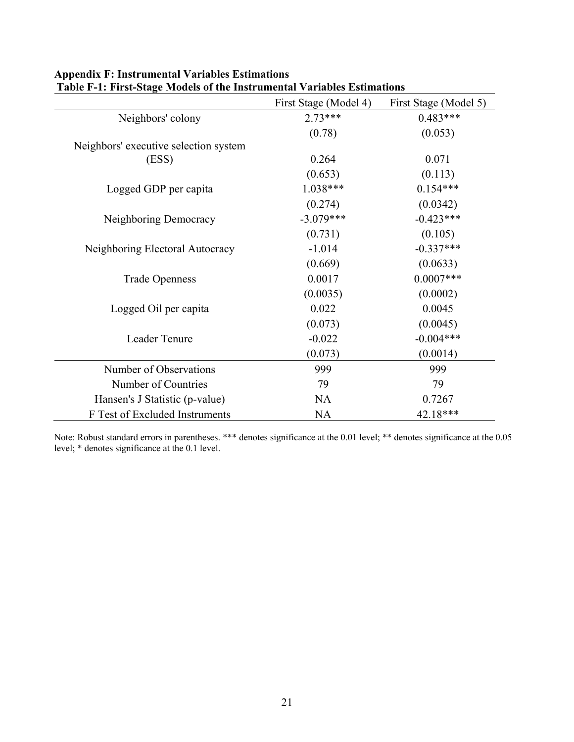|                                       | First Stage (Model 4) | First Stage (Model 5) |
|---------------------------------------|-----------------------|-----------------------|
| Neighbors' colony                     | $2.73***$             | $0.483***$            |
|                                       | (0.78)                | (0.053)               |
| Neighbors' executive selection system |                       |                       |
| (ESS)                                 | 0.264                 | 0.071                 |
|                                       | (0.653)               | (0.113)               |
| Logged GDP per capita                 | $1.038***$            | $0.154***$            |
|                                       | (0.274)               | (0.0342)              |
| Neighboring Democracy                 | $-3.079***$           | $-0.423***$           |
|                                       | (0.731)               | (0.105)               |
| Neighboring Electoral Autocracy       | $-1.014$              | $-0.337***$           |
|                                       | (0.669)               | (0.0633)              |
| <b>Trade Openness</b>                 | 0.0017                | $0.0007***$           |
|                                       | (0.0035)              | (0.0002)              |
| Logged Oil per capita                 | 0.022                 | 0.0045                |
|                                       | (0.073)               | (0.0045)              |
| Leader Tenure                         | $-0.022$              | $-0.004***$           |
|                                       | (0.073)               | (0.0014)              |
| Number of Observations                | 999                   | 999                   |
| Number of Countries                   | 79                    | 79                    |
| Hansen's J Statistic (p-value)        | <b>NA</b>             | 0.7267                |
| F Test of Excluded Instruments        | <b>NA</b>             | 42.18***              |

### **Appendix F: Instrumental Variables Estimations Table F-1: First-Stage Models of the Instrumental Variables Estimations**

Note: Robust standard errors in parentheses. \*\*\* denotes significance at the 0.01 level; \*\* denotes significance at the 0.05 level; \* denotes significance at the 0.1 level.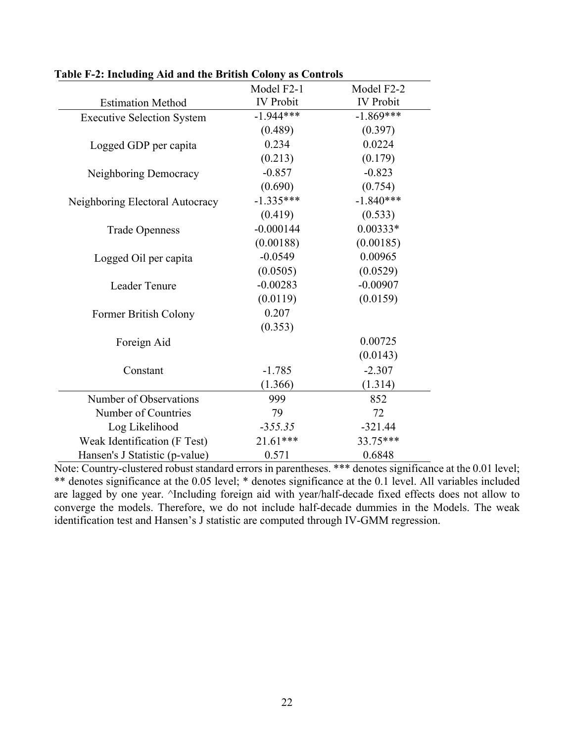|                                   | Model F2-1       | Model F2-2       |
|-----------------------------------|------------------|------------------|
| <b>Estimation Method</b>          | <b>IV</b> Probit | <b>IV</b> Probit |
| <b>Executive Selection System</b> | $-1.944***$      | $-1.869***$      |
|                                   | (0.489)          | (0.397)          |
| Logged GDP per capita             | 0.234            | 0.0224           |
|                                   | (0.213)          | (0.179)          |
| Neighboring Democracy             | $-0.857$         | $-0.823$         |
|                                   | (0.690)          | (0.754)          |
| Neighboring Electoral Autocracy   | $-1.335***$      | $-1.840***$      |
|                                   | (0.419)          | (0.533)          |
| <b>Trade Openness</b>             | $-0.000144$      | $0.00333*$       |
|                                   | (0.00188)        | (0.00185)        |
| Logged Oil per capita             | $-0.0549$        | 0.00965          |
|                                   | (0.0505)         | (0.0529)         |
| Leader Tenure                     | $-0.00283$       | $-0.00907$       |
|                                   | (0.0119)         | (0.0159)         |
| Former British Colony             | 0.207            |                  |
|                                   | (0.353)          |                  |
| Foreign Aid                       |                  | 0.00725          |
|                                   |                  | (0.0143)         |
| Constant                          | $-1.785$         | $-2.307$         |
|                                   | (1.366)          | (1.314)          |
| Number of Observations            | 999              | 852              |
| Number of Countries               | 79               | 72               |
| Log Likelihood                    | $-355.35$        | $-321.44$        |
| Weak Identification (F Test)      | 21.61***         | 33.75***         |
| Hansen's J Statistic (p-value)    | 0.571            | 0.6848           |

**Table F-2: Including Aid and the British Colony as Controls**

Note: Country-clustered robust standard errors in parentheses. \*\*\* denotes significance at the 0.01 level; \*\* denotes significance at the 0.05 level; \* denotes significance at the 0.1 level. All variables included are lagged by one year. ^Including foreign aid with year/half-decade fixed effects does not allow to converge the models. Therefore, we do not include half-decade dummies in the Models. The weak identification test and Hansen's J statistic are computed through IV-GMM regression.